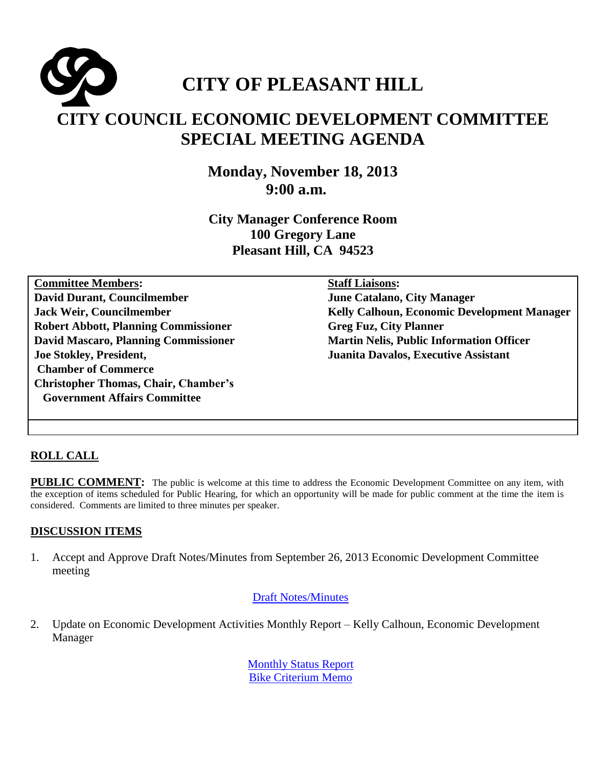# **CITY OF PLEASANT HILL CITY COUNCIL ECONOMIC DEVELOPMENT COMMITTEE SPECIAL MEETING AGENDA**

**Monday, November 18, 2013 9:00 a.m.**

**City Manager Conference Room 100 Gregory Lane Pleasant Hill, CA 94523**

**Committee Members: David Durant, Councilmember Jack Weir, Councilmember Robert Abbott, Planning Commissioner David Mascaro, Planning Commissioner Joe Stokley, President, Chamber of Commerce Christopher Thomas, Chair, Chamber's Government Affairs Committee**

**Staff Liaisons:** 

**June Catalano, City Manager Kelly Calhoun, Economic Development Manager Greg Fuz, City Planner Martin Nelis, Public Information Officer Juanita Davalos, Executive Assistant** 

## **ROLL CALL**

**PUBLIC COMMENT:** The public is welcome at this time to address the Economic Development Committee on any item, with the exception of items scheduled for Public Hearing, for which an opportunity will be made for public comment at the time the item is considered. Comments are limited to three minutes per speaker.

#### **DISCUSSION ITEMS**

1. Accept and Approve Draft Notes/Minutes from September 26, 2013 Economic Development Committee meeting

#### [Draft Notes/Minutes](http://www.ci.pleasant-hill.ca.us/DocumentCenter/View/11569)

2. Update on Economic Development Activities Monthly Report – Kelly Calhoun, Economic Development Manager

> [Monthly Status Report](http://www.ci.pleasant-hill.ca.us/DocumentCenter/View/11571) [Bike Criterium Memo](http://www.ci.pleasant-hill.ca.us/DocumentCenter/View/11568)